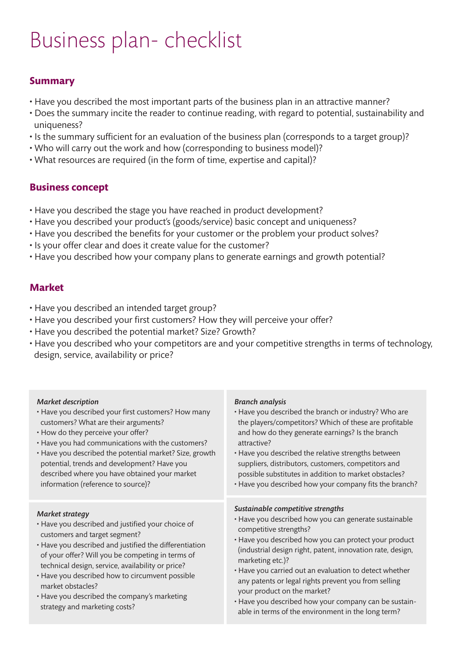# Business plan- checklist

### **Summary**

- Have you described the most important parts of the business plan in an attractive manner?
- Does the summary incite the reader to continue reading, with regard to potential, sustainability and uniqueness?
- Is the summary sufficient for an evaluation of the business plan (corresponds to a target group)?
- Who will carry out the work and how (corresponding to business model)?
- What resources are required (in the form of time, expertise and capital)?

#### **Business concept**

- Have you described the stage you have reached in product development?
- Have you described your product's (goods/service) basic concept and uniqueness?
- Have you described the benefits for your customer or the problem your product solves?
- Is your offer clear and does it create value for the customer?
- Have you described how your company plans to generate earnings and growth potential?

#### **Market**

- Have you described an intended target group?
- Have you described your first customers? How they will perceive your offer?
- Have you described the potential market? Size? Growth?
- Have you described who your competitors are and your competitive strengths in terms of technology, design, service, availability or price?

| <b>Market description</b>                                                                                                                                                                                                                                                                                                                                                                                                                | <b>Branch analysis</b>                                                                                                                                                                                                                                                                                                                                                                                                                                                                                                          |
|------------------------------------------------------------------------------------------------------------------------------------------------------------------------------------------------------------------------------------------------------------------------------------------------------------------------------------------------------------------------------------------------------------------------------------------|---------------------------------------------------------------------------------------------------------------------------------------------------------------------------------------------------------------------------------------------------------------------------------------------------------------------------------------------------------------------------------------------------------------------------------------------------------------------------------------------------------------------------------|
| • Have you described your first customers? How many                                                                                                                                                                                                                                                                                                                                                                                      | . Have you described the branch or industry? Who are                                                                                                                                                                                                                                                                                                                                                                                                                                                                            |
| customers? What are their arguments?                                                                                                                                                                                                                                                                                                                                                                                                     | the players/competitors? Which of these are profitable                                                                                                                                                                                                                                                                                                                                                                                                                                                                          |
| • How do they perceive your offer?                                                                                                                                                                                                                                                                                                                                                                                                       | and how do they generate earnings? Is the branch                                                                                                                                                                                                                                                                                                                                                                                                                                                                                |
| • Have you had communications with the customers?                                                                                                                                                                                                                                                                                                                                                                                        | attractive?                                                                                                                                                                                                                                                                                                                                                                                                                                                                                                                     |
| • Have you described the potential market? Size, growth                                                                                                                                                                                                                                                                                                                                                                                  | • Have you described the relative strengths between                                                                                                                                                                                                                                                                                                                                                                                                                                                                             |
| potential, trends and development? Have you                                                                                                                                                                                                                                                                                                                                                                                              | suppliers, distributors, customers, competitors and                                                                                                                                                                                                                                                                                                                                                                                                                                                                             |
| described where you have obtained your market                                                                                                                                                                                                                                                                                                                                                                                            | possible substitutes in addition to market obstacles?                                                                                                                                                                                                                                                                                                                                                                                                                                                                           |
| information (reference to source)?                                                                                                                                                                                                                                                                                                                                                                                                       | • Have you described how your company fits the branch?                                                                                                                                                                                                                                                                                                                                                                                                                                                                          |
| <b>Market strategy</b><br>• Have you described and justified your choice of<br>customers and target segment?<br>• Have you described and justified the differentiation<br>of your offer? Will you be competing in terms of<br>technical design, service, availability or price?<br>• Have you described how to circumvent possible<br>market obstacles?<br>• Have you described the company's marketing<br>strategy and marketing costs? | Sustainable competitive strengths<br>· Have you described how you can generate sustainable<br>competitive strengths?<br>• Have you described how you can protect your product<br>(industrial design right, patent, innovation rate, design,<br>marketing etc.)?<br>• Have you carried out an evaluation to detect whether<br>any patents or legal rights prevent you from selling<br>your product on the market?<br>• Have you described how your company can be sustain-<br>able in terms of the environment in the long term? |